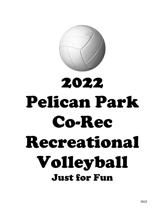

# 2022 Pelican Park Co-Rec Recreational Volleyball Just for Fun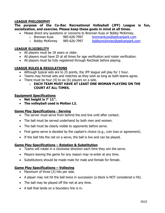## **LEAGUE PHILOSOPHY**

## **The purpose of the Co-Rec Recreational Volleyball (JFF) League is fun, socialization, and exercise. Please keep these goals in mind at all times.**

- Please direct any questions or concerns to Brennan Kuss or Bobby McKinney.
	-
	- o Brennan Kuss 985-626-7997 [brennankuss@pelicanpark.com](mailto:brennankuss@pelicanpark.com)
	- o Bobby McKinney 985-626-7997 [bobbymckinney@pelicanpark.com](mailto:bobbymckinney@pelicanpark.com)

#### **LEAGUE ELIGIBILITY**

- All players must be 18 years or older.
- All players must have ID at all times for age verification and roster verification.
- All players must be fully registered through RecDesk before playing.

## **LEAGUE RULES & REGULATIONS**

- Although typical sets are to 25 points, the JFF league will play for 1 hour.
- Teams may format sets and matches as they wish as long as both teams agree.
- There must be four (4) to six (6) players on a side.

#### o **EACH TEAM MUST HAVE AT LEAST ONE WOMAN PLAYING ON THE COURT AT ALL TIMES.**

#### **Equipment Specifications**

- **Net height is 7' 11".**
- **The volleyball used is Molten L2.**

## **Game Play Specifications - Serving**

- The server must serve from behind the end line until after contact.
- The ball must be served underhand by both men and women.
- The ball must be clearly visible to opponents before serve.
- First game serve is decided by the captain's choice (e.g., coin toss or agreement).
- If the ball hits the net on a serve, the ball is live and can be played.

## **Game Play Specifications – Rotation & Substitution**

- Teams will rotate in a clockwise direction each time they win the serve.
- Players leaving the game for any reason may re-enter at any time.
- Substitutions should be made male for male and female for female.

## **Game Play Specifications – Volleying**

- Maximum of three (3) hits per side.
- A player may not hit the ball twice in succession (a block is NOT considered a hit).
- The ball may be played off the net at any time.
- A ball that lands on a boundary line is in.